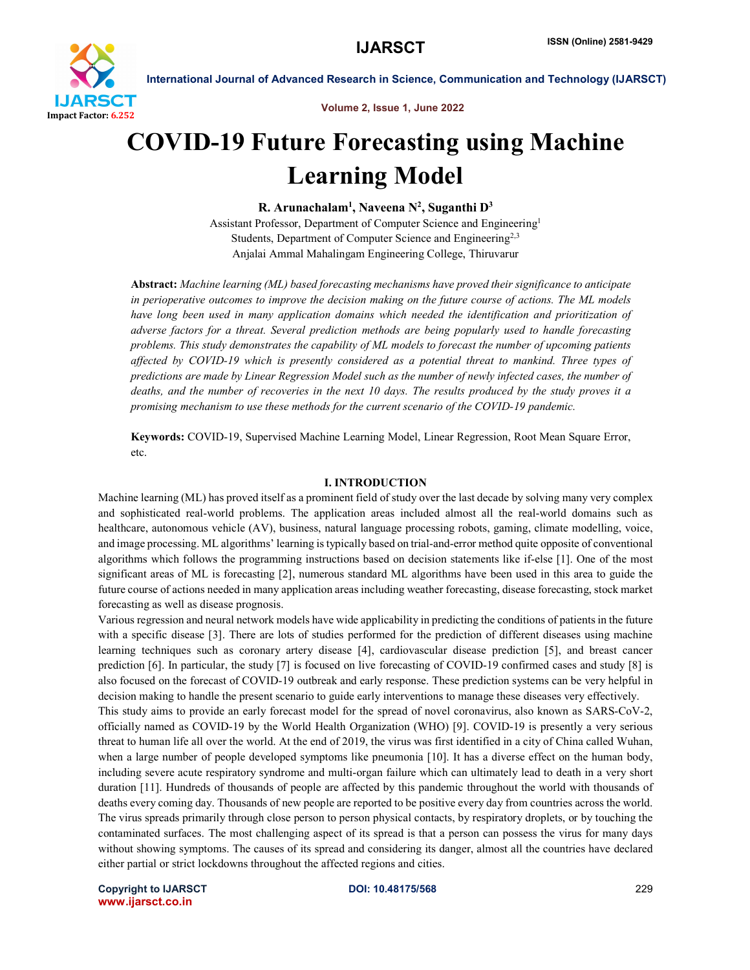

 International Journal of Advanced Research in Science, Communication and Technology (IJARSCT) Volume 2, Issue 1, June 2022

# COVID-19 Future Forecasting using Machine Learning Model

R. Arunachalam<sup>1</sup>, Naveena N<sup>2</sup>, Suganthi D<sup>3</sup>

Assistant Professor, Department of Computer Science and Engineering1 Students, Department of Computer Science and Engineering<sup>2,3</sup> Anjalai Ammal Mahalingam Engineering College, Thiruvarur

Abstract: *Machine learning (ML) based forecasting mechanisms have proved their significance to anticipate in perioperative outcomes to improve the decision making on the future course of actions. The ML models*  have long been used in many application domains which needed the identification and prioritization of *adverse factors for a threat. Several prediction methods are being popularly used to handle forecasting problems. This study demonstrates the capability of ML models to forecast the number of upcoming patients affected by COVID-19 which is presently considered as a potential threat to mankind. Three types of predictions are made by Linear Regression Model such as the number of newly infected cases, the number of deaths, and the number of recoveries in the next 10 days. The results produced by the study proves it a promising mechanism to use these methods for the current scenario of the COVID-19 pandemic.*

Keywords: COVID-19, Supervised Machine Learning Model, Linear Regression, Root Mean Square Error, etc.

#### I. INTRODUCTION

Machine learning (ML) has proved itself as a prominent field of study over the last decade by solving many very complex and sophisticated real-world problems. The application areas included almost all the real-world domains such as healthcare, autonomous vehicle (AV), business, natural language processing robots, gaming, climate modelling, voice, and image processing. ML algorithms' learning is typically based on trial-and-error method quite opposite of conventional algorithms which follows the programming instructions based on decision statements like if-else [1]. One of the most significant areas of ML is forecasting [2], numerous standard ML algorithms have been used in this area to guide the future course of actions needed in many application areas including weather forecasting, disease forecasting, stock market forecasting as well as disease prognosis.

Various regression and neural network models have wide applicability in predicting the conditions of patients in the future with a specific disease [3]. There are lots of studies performed for the prediction of different diseases using machine learning techniques such as coronary artery disease [4], cardiovascular disease prediction [5], and breast cancer prediction [6]. In particular, the study [7] is focused on live forecasting of COVID-19 confirmed cases and study [8] is also focused on the forecast of COVID-19 outbreak and early response. These prediction systems can be very helpful in decision making to handle the present scenario to guide early interventions to manage these diseases very effectively.

This study aims to provide an early forecast model for the spread of novel coronavirus, also known as SARS-CoV-2, officially named as COVID-19 by the World Health Organization (WHO) [9]. COVID-19 is presently a very serious threat to human life all over the world. At the end of 2019, the virus was first identified in a city of China called Wuhan, when a large number of people developed symptoms like pneumonia [10]. It has a diverse effect on the human body, including severe acute respiratory syndrome and multi-organ failure which can ultimately lead to death in a very short duration [11]. Hundreds of thousands of people are affected by this pandemic throughout the world with thousands of deaths every coming day. Thousands of new people are reported to be positive every day from countries across the world. The virus spreads primarily through close person to person physical contacts, by respiratory droplets, or by touching the contaminated surfaces. The most challenging aspect of its spread is that a person can possess the virus for many days without showing symptoms. The causes of its spread and considering its danger, almost all the countries have declared either partial or strict lockdowns throughout the affected regions and cities.

Copyright to IJARSCT **DOI: 10.48175/568** 229 www.ijarsct.co.in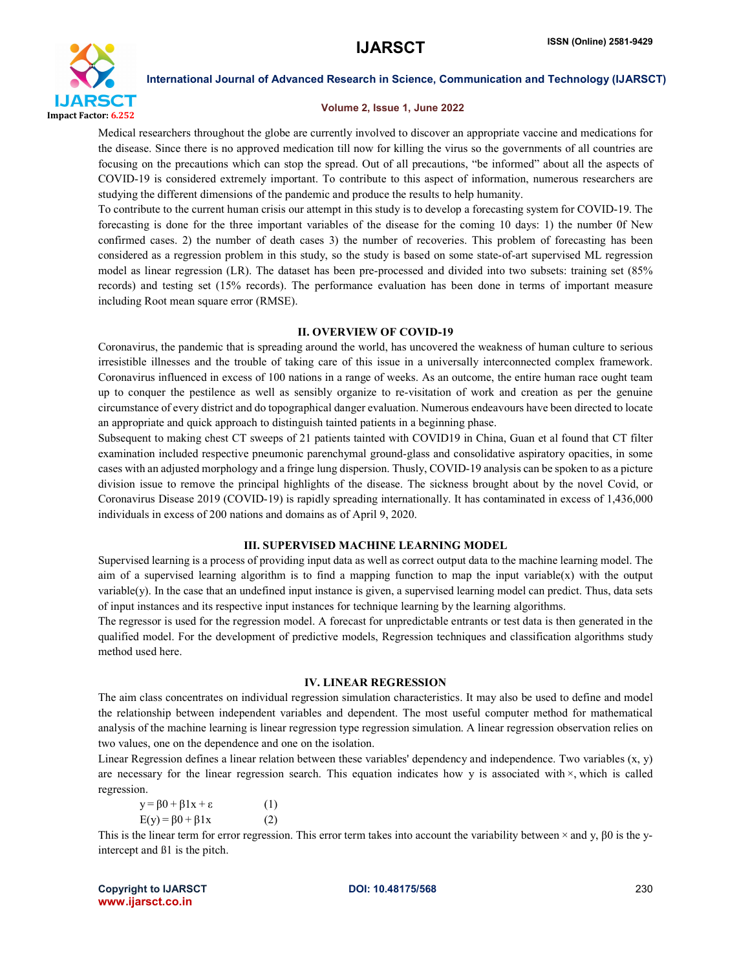

### Volume 2, Issue 1, June 2022

Medical researchers throughout the globe are currently involved to discover an appropriate vaccine and medications for the disease. Since there is no approved medication till now for killing the virus so the governments of all countries are focusing on the precautions which can stop the spread. Out of all precautions, "be informed" about all the aspects of COVID-19 is considered extremely important. To contribute to this aspect of information, numerous researchers are studying the different dimensions of the pandemic and produce the results to help humanity.

To contribute to the current human crisis our attempt in this study is to develop a forecasting system for COVID-19. The forecasting is done for the three important variables of the disease for the coming 10 days: 1) the number 0f New confirmed cases. 2) the number of death cases 3) the number of recoveries. This problem of forecasting has been considered as a regression problem in this study, so the study is based on some state-of-art supervised ML regression model as linear regression (LR). The dataset has been pre-processed and divided into two subsets: training set (85% records) and testing set (15% records). The performance evaluation has been done in terms of important measure including Root mean square error (RMSE).

### II. OVERVIEW OF COVID-19

Coronavirus, the pandemic that is spreading around the world, has uncovered the weakness of human culture to serious irresistible illnesses and the trouble of taking care of this issue in a universally interconnected complex framework. Coronavirus influenced in excess of 100 nations in a range of weeks. As an outcome, the entire human race ought team up to conquer the pestilence as well as sensibly organize to re-visitation of work and creation as per the genuine circumstance of every district and do topographical danger evaluation. Numerous endeavours have been directed to locate an appropriate and quick approach to distinguish tainted patients in a beginning phase.

Subsequent to making chest CT sweeps of 21 patients tainted with COVID19 in China, Guan et al found that CT filter examination included respective pneumonic parenchymal ground-glass and consolidative aspiratory opacities, in some cases with an adjusted morphology and a fringe lung dispersion. Thusly, COVID-19 analysis can be spoken to as a picture division issue to remove the principal highlights of the disease. The sickness brought about by the novel Covid, or Coronavirus Disease 2019 (COVID-19) is rapidly spreading internationally. It has contaminated in excess of 1,436,000 individuals in excess of 200 nations and domains as of April 9, 2020.

# III. SUPERVISED MACHINE LEARNING MODEL

Supervised learning is a process of providing input data as well as correct output data to the machine learning model. The aim of a supervised learning algorithm is to find a mapping function to map the input variable(x) with the output variable(y). In the case that an undefined input instance is given, a supervised learning model can predict. Thus, data sets of input instances and its respective input instances for technique learning by the learning algorithms.

The regressor is used for the regression model. A forecast for unpredictable entrants or test data is then generated in the qualified model. For the development of predictive models, Regression techniques and classification algorithms study method used here.

#### IV. LINEAR REGRESSION

The aim class concentrates on individual regression simulation characteristics. It may also be used to define and model the relationship between independent variables and dependent. The most useful computer method for mathematical analysis of the machine learning is linear regression type regression simulation. A linear regression observation relies on two values, one on the dependence and one on the isolation.

Linear Regression defines a linear relation between these variables' dependency and independence. Two variables  $(x, y)$ are necessary for the linear regression search. This equation indicates how y is associated with ×, which is called regression.

 $y = \beta 0 + \beta 1x + \epsilon$  (1)  $E(y) = \beta 0 + \beta 1x$  (2)

This is the linear term for error regression. This error term takes into account the variability between  $\times$  and y,  $\beta$ 0 is the yintercept and ß1 is the pitch.

Copyright to IJARSCT **DOI: 10.48175/568** 230 www.ijarsct.co.in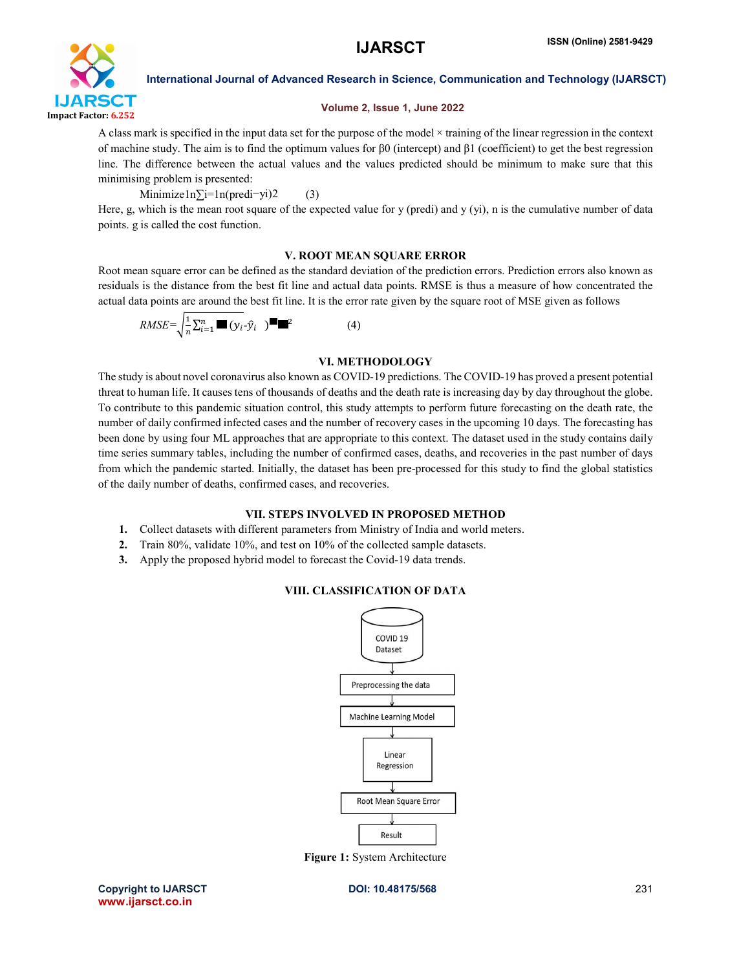

# Volume 2, Issue 1, June 2022

A class mark is specified in the input data set for the purpose of the model × training of the linear regression in the context of machine study. The aim is to find the optimum values for β0 (intercept) and β1 (coefficient) to get the best regression line. The difference between the actual values and the values predicted should be minimum to make sure that this minimising problem is presented:

Minimize1n∑i=1n(predi−yi)2 (3)

Here, g, which is the mean root square of the expected value for y (predi) and y (yi), n is the cumulative number of data points. g is called the cost function.

# V. ROOT MEAN SQUARE ERROR

Root mean square error can be defined as the standard deviation of the prediction errors. Prediction errors also known as residuals is the distance from the best fit line and actual data points. RMSE is thus a measure of how concentrated the actual data points are around the best fit line. It is the error rate given by the square root of MSE given as follows

 $RMSE = \sqrt{\frac{1}{n} \sum_{i=1}^{n} \blacksquare (y_i - \hat{y}_i)}$  (4)

# VI. METHODOLOGY

The study is about novel coronavirus also known as COVID-19 predictions. The COVID-19 has proved a present potential threat to human life. It causes tens of thousands of deaths and the death rate is increasing day by day throughout the globe. To contribute to this pandemic situation control, this study attempts to perform future forecasting on the death rate, the number of daily confirmed infected cases and the number of recovery cases in the upcoming 10 days. The forecasting has been done by using four ML approaches that are appropriate to this context. The dataset used in the study contains daily time series summary tables, including the number of confirmed cases, deaths, and recoveries in the past number of days from which the pandemic started. Initially, the dataset has been pre-processed for this study to find the global statistics of the daily number of deaths, confirmed cases, and recoveries.

# VII. STEPS INVOLVED IN PROPOSED METHOD

- 1. Collect datasets with different parameters from Ministry of India and world meters.
- 2. Train 80%, validate 10%, and test on 10% of the collected sample datasets.
- 3. Apply the proposed hybrid model to forecast the Covid-19 data trends.





Figure 1: System Architecture

Copyright to IJARSCT DOI: 10.48175/568 231 www.ijarsct.co.in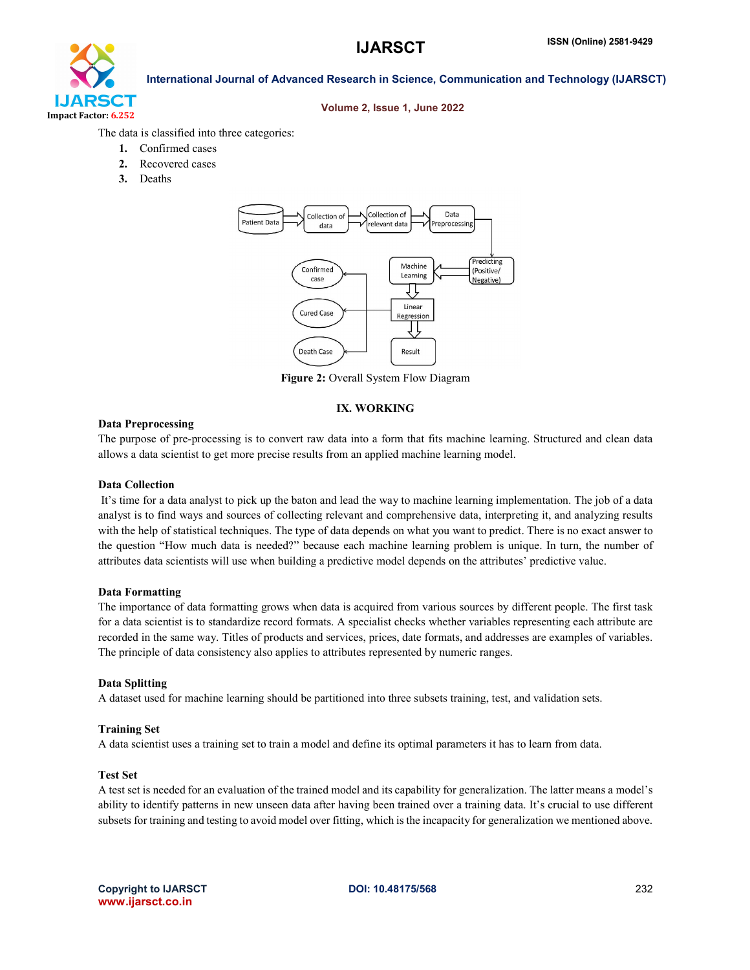

### Volume 2, Issue 1, June 2022

The data is classified into three categories:

- 1. Confirmed cases
- 2. Recovered cases
- 3. Deaths



Figure 2: Overall System Flow Diagram

# IX. WORKING

### Data Preprocessing

The purpose of pre-processing is to convert raw data into a form that fits machine learning. Structured and clean data allows a data scientist to get more precise results from an applied machine learning model.

#### Data Collection

It's time for a data analyst to pick up the baton and lead the way to machine learning implementation. The job of a data analyst is to find ways and sources of collecting relevant and comprehensive data, interpreting it, and analyzing results with the help of statistical techniques. The type of data depends on what you want to predict. There is no exact answer to the question "How much data is needed?" because each machine learning problem is unique. In turn, the number of attributes data scientists will use when building a predictive model depends on the attributes' predictive value.

#### Data Formatting

The importance of data formatting grows when data is acquired from various sources by different people. The first task for a data scientist is to standardize record formats. A specialist checks whether variables representing each attribute are recorded in the same way. Titles of products and services, prices, date formats, and addresses are examples of variables. The principle of data consistency also applies to attributes represented by numeric ranges.

#### Data Splitting

A dataset used for machine learning should be partitioned into three subsets training, test, and validation sets.

#### Training Set

A data scientist uses a training set to train a model and define its optimal parameters it has to learn from data.

#### Test Set

A test set is needed for an evaluation of the trained model and its capability for generalization. The latter means a model's ability to identify patterns in new unseen data after having been trained over a training data. It's crucial to use different subsets for training and testing to avoid model over fitting, which is the incapacity for generalization we mentioned above.